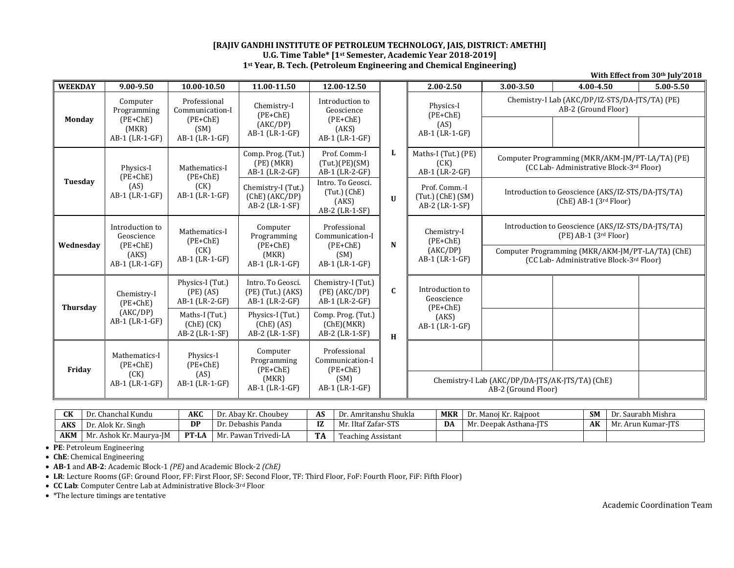## **[RAJIV GANDHI INSTITUTE OF PETROLEUM TECHNOLOGY, JAIS, DISTRICT: AMETHI] U.G. Time Table\* [1st Semester, Academic Year 2018‐2019] 1st Year, B. Tech. (Petroleum Engineering and Chemical Engineering)**

| $\overline{\mathbf{W}}$ EEKDAY | 9.00-9.50                                                              | 10.00-10.50                                                             | 11.00-11.50                                                      | 12.00-12.50                                                             |                                                                                                                                                  | $2.00 - 2.50$                                             | 3.00-3.50                                                                                                                                                                     | 4.00-4.50 | 5.00-5.50 |  |  |
|--------------------------------|------------------------------------------------------------------------|-------------------------------------------------------------------------|------------------------------------------------------------------|-------------------------------------------------------------------------|--------------------------------------------------------------------------------------------------------------------------------------------------|-----------------------------------------------------------|-------------------------------------------------------------------------------------------------------------------------------------------------------------------------------|-----------|-----------|--|--|
| <b>Monday</b>                  | Computer<br>Programming<br>$(PE+ChE)$<br>(MKR)<br>AB-1 (LR-1-GF)       | Professional<br>Communication-I<br>$(PE+ChE)$<br>(SM)<br>AB-1 (LR-1-GF) | Chemistry-I<br>$(PE+ChE)$<br>(AKC/DP)<br>AB-1 (LR-1-GF)          | Introduction to<br>Geoscience<br>$(PE+ChE)$<br>(AKS)<br>AB-1 (LR-1-GF)  |                                                                                                                                                  | Physics-I<br>$(PE+ChE)$<br>(AS)<br>AB-1 (LR-1-GF)         | Chemistry-I Lab (AKC/DP/IZ-STS/DA-JTS/TA) (PE)<br>AB-2 (Ground Floor)                                                                                                         |           |           |  |  |
|                                | Physics-I<br>$(PE+ChE)$                                                | Mathematics-I<br>$(PE+ChE)$                                             | Comp. Prog. (Tut.)<br>$(PE)$ $(MKR)$<br>AB-1 (LR-2-GF)           | Prof. Comm-I<br>(Tut.)(PE)(SM)<br>AB-1 (LR-2-GF)                        | L<br>Maths-I (Tut.) (PE)<br>Computer Programming (MKR/AKM-JM/PT-LA/TA) (PE)<br>(CK)<br>(CC Lab-Administrative Block-3rd Floor)<br>AB-1 (LR-2-GF) |                                                           |                                                                                                                                                                               |           |           |  |  |
| Tuesday                        | (AS)<br>AB-1 (LR-1-GF)                                                 | (CK)<br>AB-1 (LR-1-GF)                                                  | Chemistry-I (Tut.)<br>(Che) (AKC/DP)<br>AB-2 (LR-1-SF)           | Intro. To Geosci.<br>$(Tut.)$ (ChE)<br>(AKS)<br>AB-2 (LR-1-SF)          | $\mathbf{U}$                                                                                                                                     | Prof. Comm.-I<br>$(Tut.)$ (ChE) $(SM)$<br>AB-2 (LR-1-SF)  | Introduction to Geoscience (AKS/IZ-STS/DA-JTS/TA)<br>$(ChE)$ AB-1 $(3rd$ Floor)                                                                                               |           |           |  |  |
| Wednesday                      | Introduction to<br>Geoscience<br>$(PE+ChE)$<br>(AKS)<br>AB-1 (LR-1-GF) | Mathematics-I<br>$(PE+ChE)$<br>(CK)<br>AB-1 (LR-1-GF)                   | Computer<br>Programming<br>$(PE+ChE)$<br>(MKR)<br>AB-1 (LR-1-GF) | Professional<br>Communication-I<br>$(PE+ChE)$<br>(SM)<br>AB-1 (LR-1-GF) | N                                                                                                                                                | Chemistry-I<br>$(PE+ChE)$<br>(AKC/DP)<br>$AB-1$ (LR-1-GF) | Introduction to Geoscience (AKS/IZ-STS/DA-JTS/TA)<br>$(PE)$ AB-1 $(3rd$ Floor)<br>Computer Programming (MKR/AKM-JM/PT-LA/TA) (ChE)<br>(CC Lab-Administrative Block-3rd Floor) |           |           |  |  |
| <b>Thursday</b>                | Chemistry-I<br>$(PE+ChE)$                                              | Physics-I (Tut.)<br>$(PE)$ $(AS)$<br>AB-1 (LR-2-GF)                     | Intro. To Geosci.<br>$(PE)$ (Tut.) $(AKS)$<br>AB-1 (LR-2-GF)     | Chemistry-I (Tut.)<br>(PE) (AKC/DP)<br>AB-1 (LR-2-GF)                   | C                                                                                                                                                | Introduction to<br>Geoscience<br>$(PE+ChE)$               |                                                                                                                                                                               |           |           |  |  |
|                                | (AKC/DP)<br>$AB-1$ (LR-1-GF)                                           | Maths-I (Tut.)<br>$(ChE)$ $(CK)$<br>AB-2 (LR-1-SF)                      | Physics-I (Tut.)<br>(Che) (AS)<br>AB-2 (LR-1-SF)                 | Comp. Prog. (Tut.)<br>(Che)(MKR)<br>AB-2 (LR-1-SF)                      | H                                                                                                                                                | (AKS)<br>AB-1 (LR-1-GF)                                   |                                                                                                                                                                               |           |           |  |  |
| Friday                         | Mathematics-I<br>$(PE+ChE)$<br>(CK)                                    | Physics-I<br>$(PE+ChE)$<br>(AS)                                         | Computer<br>Programming<br>$(PE+ChE)$                            | Professional<br>Communication-I<br>$(PE+ChE)$                           |                                                                                                                                                  |                                                           |                                                                                                                                                                               |           |           |  |  |
|                                | AB-1 (LR-1-GF)                                                         | AB-1 (LR-1-GF)                                                          | (MKR)<br>$AD 1$ ( $ID 1$ $CD$ )                                  | (SM)<br>$AD 1$ ( $ID 1$ $CD$ )                                          |                                                                                                                                                  | Chemistry-I Lab (AKC/DP/DA-JTS/AK-JTS/TA) (ChE)           |                                                                                                                                                                               |           |           |  |  |

| <b>CK</b>  | hanchal Kundu'<br>Dr       | <b>AKC</b>   | Dr. Abay Kr. Choubey        | AS        | Dr. Amritanshu Shukla | <b>MKR</b> | Dr. Manoj Kr. Rajpoot  | <b>SM</b> | Dr. Saurabh Mishra          |
|------------|----------------------------|--------------|-----------------------------|-----------|-----------------------|------------|------------------------|-----------|-----------------------------|
| <b>AKS</b> | Dr. Alok Kr. Singh         | <b>DP</b>    | Debashis Panda              | 17<br>14  | Iltaf Zafar-STS<br>Mr | DA         | Mr. Deepak Asthana-JTS | AK        | $\sim$<br>Mr. Arun Kumar-l' |
| <b>AKM</b> | Ashok Kr. Maurya-JM<br>Mr. | <b>PT-LA</b> | ⊦Trivedi-LA<br>Pawan<br>Mr. | <b>TA</b> | Teaching Assistant    |            |                        |           |                             |

AB-2 (Ground Floor)

AB-1 (LR-1-GF)

**PE**: Petroleum Engineering 

**• ChE**: Chemical Engineering

**AB‐1** and **AB‐2**: Academic Block‐1 *(PE)* and Academic Block‐2 *(ChE)*

• L**R**: Lecture Rooms (GF: Ground Floor, FF: First Floor, SF: Second Floor, TF: Third Floor, FoF: Fourth Floor, FiF: Fifth Floor)

AB-1 (LR-1-GF)

● CC La**b**: Computer Centre Lab at Administrative Block-3<sup>rd</sup> Floor

• \*The lecture timings are tentative

**With Effect from 30th July'2018**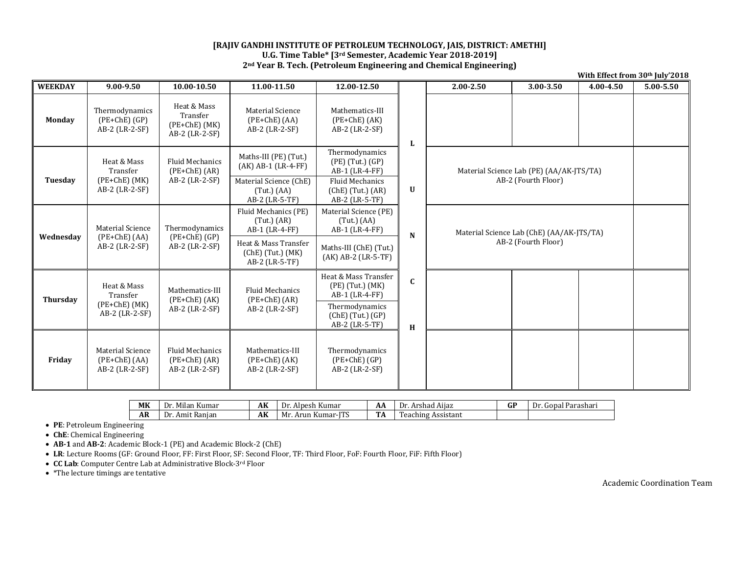## **[RAJIV GANDHI INSTITUTE OF PETROLEUM TECHNOLOGY, JAIS, DISTRICT: AMETHI] U.G. Time Table\* [3rd Semester, Academic Year 2018‐2019] 2nd Year B. Tech. (Petroleum Engineering and Chemical Engineering)**

| <b>WEEKDAY</b>  | $9.00 - 9.50$                                                  | 10.00-10.50                                                    | 11.00-11.50                                                                                                                    | 12.00-12.50                                                                                                                     |                  | $2.00 - 2.50$ | 3.00-3.50                                                        | 4.00-4.50                                | 5.00-5.50 |  |
|-----------------|----------------------------------------------------------------|----------------------------------------------------------------|--------------------------------------------------------------------------------------------------------------------------------|---------------------------------------------------------------------------------------------------------------------------------|------------------|---------------|------------------------------------------------------------------|------------------------------------------|-----------|--|
| <b>Monday</b>   | Thermodynamics<br>$(PE+ChE)$ $(GP)$<br>AB-2 (LR-2-SF)          | Heat & Mass<br>Transfer<br>$(PE+ChE)$ $(MK)$<br>AB-2 (LR-2-SF) | <b>Material Science</b><br>$(PE+ChE) (AA)$<br>$AB-2$ (LR-2-SF)                                                                 | Mathematics-III<br>$(PE+ChE) (AK)$<br>$AB-2$ (LR-2-SF)                                                                          | L                |               |                                                                  |                                          |           |  |
| Tuesday         | Heat & Mass<br>Transfer<br>$(PE+ChE)$ $(MK)$<br>AB-2 (LR-2-SF) | <b>Fluid Mechanics</b><br>$(PE+ChE) (AR)$<br>AB-2 (LR-2-SF)    | Maths-III (PE) (Tut.)<br>$(AK)$ AB-1 $(LR-4-FF)$<br>Material Science (ChE)<br>$(Tut.)$ (AA)<br>AB-2 (LR-5-TF)                  | Thermodynamics<br>(PE) (Tut.) (GP)<br>$AB-1$ (LR-4-FF)<br><b>Fluid Mechanics</b><br>$(Che)$ (Tut.) $(AR)$<br>AB-2 (LR-5-TF)     | U                |               | AB-2 (Fourth Floor)                                              | Material Science Lab (PE) (AA/AK-JTS/TA) |           |  |
| Wednesday       | <b>Material Science</b><br>$(PE+ChE)$ (AA)<br>AB-2 (LR-2-SF)   | Thermodynamics<br>$(PE+ChE)$ (GP)<br>AB-2 (LR-2-SF)            | Fluid Mechanics (PE)<br>$(Tut.)$ $(AR)$<br>AB-1 (LR-4-FF)<br>Heat & Mass Transfer<br>$(ChE)$ (Tut.) $(MK)$<br>$AB-2$ (LR-5-TF) | Material Science (PE)<br>$(Tut.)$ (AA)<br>AB-1 (LR-4-FF)<br>Maths-III (ChE) (Tut.)<br>$(AK)$ AB-2 $(LR-5-TF)$                   | N                |               | Material Science Lab (ChE) (AA/AK-JTS/TA)<br>AB-2 (Fourth Floor) |                                          |           |  |
| <b>Thursday</b> | Heat & Mass<br>Transfer<br>$(PE+ChE)$ $(MK)$<br>AB-2 (LR-2-SF) | Mathematics-III<br>$(PE+ChE)$ (AK)<br>$AB-2$ (LR-2-SF)         | <b>Fluid Mechanics</b><br>$(PE+ChE) (AR)$<br>$AB-2$ (LR-2-SF)                                                                  | Heat & Mass Transfer<br>$(PE)$ (Tut.) $(MK)$<br>$AB-1$ (LR-4-FF)<br>Thermodynamics<br>$(Che)$ (Tut.) $(GP)$<br>$AB-2$ (LR-5-TF) | $\mathbf c$<br>H |               |                                                                  |                                          |           |  |
| Friday          | <b>Material Science</b><br>$(PE+ChE) (AA)$<br>AB-2 (LR-2-SF)   | <b>Fluid Mechanics</b><br>$(PE+ChE) (AR)$<br>AB-2 (LR-2-SF)    | Mathematics-III<br>$(PE+ChE) (AK)$<br>AB-2 (LR-2-SF)                                                                           | Thermodynamics<br>$(PE+ChE) (GP)$<br>AB-2 (LR-2-SF)                                                                             |                  |               |                                                                  |                                          |           |  |

| MK        | $\overline{\phantom{a}}$<br>.<br>--<br>Dr<br>Kumar<br>. Mulan                  | AK             | ---<br>. Alpesh Kumar<br>$_{\rm pr}$  | AΡ                            | $\cdots$<br>Arshad<br>Aiiaz<br>Dr      | ΩT<br>u. | Dr<br>Parashari<br>Gonal |
|-----------|--------------------------------------------------------------------------------|----------------|---------------------------------------|-------------------------------|----------------------------------------|----------|--------------------------|
| <b>AR</b> | $\overline{\phantom{a}}$<br>$\overline{\phantom{a}}$<br>: Ranian<br>Amit<br>Dr | A <sub>K</sub> | TTC<br>Mr<br>Arun<br>. Kumar-I'<br>⊥ມ | <b>TELL</b><br>$\blacksquare$ | $\mathbf{r}$<br>. Assistant<br>eaching |          |                          |

**PE**: Petroleum Engineering 

**• ChE**: Chemical Engineering

**AB‐1** and **AB‐2**: Academic Block‐1 (PE) and Academic Block‐2 (ChE) 

• LR: Lecture Rooms (GF: Ground Floor, FF: First Floor, SF: Second Floor, TF: Third Floor, FoF: Fourth Floor, FiF: Fifth Floor)

● CC La**b**: Computer Centre Lab at Administrative Block-3<sup>rd</sup> Floor

 $\bullet \;$  \*The lecture timings are tentative

Academic Coordination Team

**With Effect from 30th July'2018**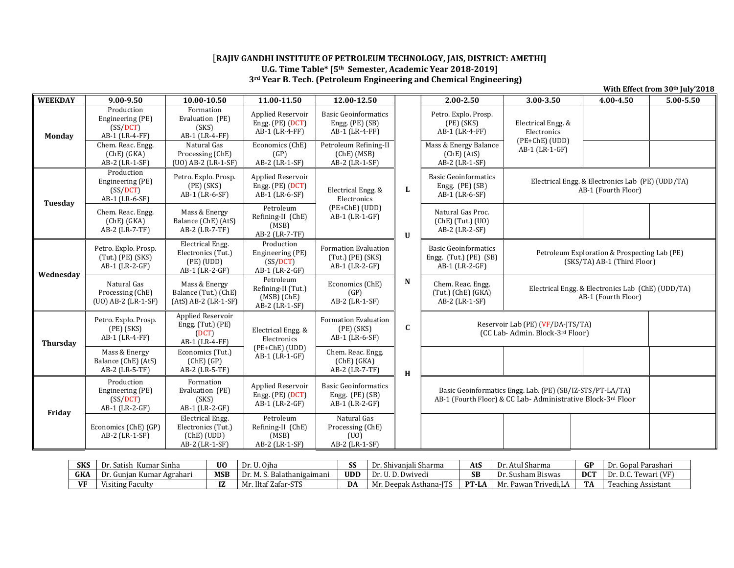## [**RAJIV GANDHI INSTITUTE OF PETROLEUM TECHNOLOGY, JAIS, DISTRICT: AMETHI] U.G. Time Table\* [5th Semester, Academic Year 2018‐2019] 3rd Year B. Tech. (Petroleum Engineering and Chemical Engineering)**

| <b>WEEKDAY</b>  | 9.00-9.50                                                         | 10.00-10.50                                                                   | 11.00-11.50                                                        | 12.00-12.50                                                              |              | $2.00 - 2.50$                                                                                                                                          | 3.00-3.50                                                             | 4.00-4.50                                                               | 5.00-5.50 |  |  |
|-----------------|-------------------------------------------------------------------|-------------------------------------------------------------------------------|--------------------------------------------------------------------|--------------------------------------------------------------------------|--------------|--------------------------------------------------------------------------------------------------------------------------------------------------------|-----------------------------------------------------------------------|-------------------------------------------------------------------------|-----------|--|--|
| <b>Monday</b>   | Production<br>Engineering (PE)<br>(SS/ DCT)<br>AB-1 (LR-4-FF)     | Formation<br>Evaluation (PE)<br>(SKS)<br>AB-1 (LR-4-FF)                       | Applied Reservoir<br>Engg. $(PE)$ $(DCT)$<br>AB-1 (LR-4-FF)        | <b>Basic Geoinformatics</b><br>Engg. (PE) (SB)<br>AB-1 (LR-4-FF)         |              | Petro. Explo. Prosp.<br>$(PE)$ $(SKS)$<br>AB-1 (LR-4-FF)                                                                                               | Electrical Engg. &<br>Electronics                                     |                                                                         |           |  |  |
|                 | Chem. Reac. Engg.<br>(Che) (GKA)<br>AB-2 (LR-1-SF)                | Natural Gas<br>Processing (ChE)<br>(UO) AB-2 (LR-1-SF)                        | Economics (ChE)<br>(GP)<br>AB-2 (LR-1-SF)                          | Petroleum Refining-II<br>(Che) (MSB)<br>AB-2 (LR-1-SF)                   |              | Mass & Energy Balance<br>(Che) (AtS)<br>AB-2 (LR-1-SF)                                                                                                 | (PE+ChE) (UDD)<br>AB-1 (LR-1-GF)                                      |                                                                         |           |  |  |
|                 | Production<br>Engineering (PE)<br>(SS/DCT)<br>AB-1 (LR-6-SF)      | Petro. Explo. Prosp.<br>$(PE)$ $(SKS)$<br>AB-1 (LR-6-SF)                      | Applied Reservoir<br>Engg. (PE) (DCT)<br>AB-1 (LR-6-SF)            | Electrical Engg. &<br>Electronics                                        | L            | <b>Basic Geoinformatics</b><br>Engg. (PE) (SB)<br>AB-1 (LR-6-SF)                                                                                       |                                                                       | Electrical Engg. & Electronics Lab (PE) (UDD/TA)<br>AB-1 (Fourth Floor) |           |  |  |
| Tuesday         | Chem. Reac. Engg.<br>(Che) (GKA)<br>AB-2 (LR-7-TF)                | Mass & Energy<br>Balance (ChE) (AtS)<br>$AB-2$ (LR-7-TF)                      | Petroleum<br>Refining-II (ChE)<br>(MSB)<br>AB-2 (LR-7-TF)          | (PE+ChE) (UDD)<br>$AB-1$ (LR-1-GF)                                       | $\mathbf{U}$ | Natural Gas Proc.<br>$(ChE)$ (Tut.) $(UO)$<br>AB-2 (LR-2-SF)                                                                                           |                                                                       |                                                                         |           |  |  |
|                 | Petro. Explo. Prosp.<br>$(Tut.)$ $(PE)$ $(SKS)$<br>AB-1 (LR-2-GF) | <b>Electrical Engg.</b><br>Electronics (Tut.)<br>(PE) (UDD)<br>AB-1 (LR-2-GF) | Production<br>Engineering (PE)<br>(SS/DCT)<br>AB-1 (LR-2-GF)       | <b>Formation Evaluation</b><br>$(Tut.)$ (PE) $(SKS)$<br>$AB-1$ (LR-2-GF) |              | <b>Basic Geoinformatics</b><br>Petroleum Exploration & Prospecting Lab (PE)<br>Engg. (Tut.) (PE) (SB)<br>(SKS/TA) AB-1 (Third Floor)<br>AB-1 (LR-2-GF) |                                                                       |                                                                         |           |  |  |
| Wednesday       | Natural Gas<br>Processing (ChE)<br>(UO) AB-2 (LR-1-SF)            | Mass & Energy<br>Balance (Tut.) (ChE)<br>$(AtS)$ AB-2 $(LR-1-SF)$             | Petroleum<br>Refining-II (Tut.)<br>$(MSB)$ (ChE)<br>AB-2 (LR-1-SF) | Economics (ChE)<br>(GP)<br>AB-2 (LR-1-SF)                                | N            | Chem. Reac. Engg.<br>Electrical Engg. & Electronics Lab (ChE) (UDD/TA)<br>$(Tut.)$ (ChE) $(GKA)$<br>AB-1 (Fourth Floor)<br>AB-2 (LR-1-SF)              |                                                                       |                                                                         |           |  |  |
| <b>Thursday</b> | Petro. Explo. Prosp.<br>$(PE)$ $(SKS)$<br>AB-1 (LR-4-FF)          | Applied Reservoir<br>Engg. $(Tut.)$ $(PE)$<br>(DCT)<br>AB-1 (LR-4-FF)         | Electrical Engg. &<br>Electronics                                  | <b>Formation Evaluation</b><br>$(PE)$ $(SKS)$<br>AB-1 (LR-6-SF)          | $\mathbf{C}$ |                                                                                                                                                        | Reservoir Lab (PE) (VF/DA-JTS/TA)<br>(CC Lab- Admin. Block-3rd Floor) |                                                                         |           |  |  |
|                 | Mass & Energy<br>Balance (ChE) (AtS)<br>AB-2 (LR-5-TF)            | Economics (Tut.)<br>(Che) (GP)<br>AB-2 (LR-5-TF)                              | (PE+ChE) (UDD)<br>AB-1 (LR-1-GF)                                   | Chem. Reac. Engg.<br>(Che) (GKA)<br>AB-2 (LR-7-TF)                       | H            |                                                                                                                                                        |                                                                       |                                                                         |           |  |  |
| Friday          | Production<br>Engineering (PE)<br>(SS/DCT)<br>AB-1 (LR-2-GF)      | Formation<br>Evaluation (PE)<br>(SKS)<br>AB-1 (LR-2-GF)                       | Applied Reservoir<br>Engg. $(PE)$ $(DCT)$<br>$AB-1$ (LR-2-GF)      | <b>Basic Geoinformatics</b><br>Engg. (PE) (SB)<br>AB-1 (LR-2-GF)         |              | Basic Geoinformatics Engg. Lab. (PE) (SB/IZ-STS/PT-LA/TA)<br>AB-1 (Fourth Floor) & CC Lab-Administrative Block-3rd Floor                               |                                                                       |                                                                         |           |  |  |
|                 | Economics (ChE) (GP)<br>AB-2 (LR-1-SF)                            | Electrical Engg.<br>Electronics (Tut.)<br>(Che) (UDD)<br>AB-2 (LR-1-SF)       | Petroleum<br>Refining-II (ChE)<br>(MSB)<br>AB-2 (LR-1-SF)          | Natural Gas<br>Processing (ChE)<br>(U <sub>0</sub> )<br>AB-2 (LR-1-SF)   |              |                                                                                                                                                        |                                                                       |                                                                         |           |  |  |

| <b>SKS</b> | $\sim$<br>Dr.<br>Kumar Sinha<br>Satish | U <sub>0</sub> | ™. Oiha<br>Dr.                         | cc<br>55   | ' Sharma<br>ivaniali<br>IJ.                     | AtS    | Dr<br>. Atul<br>Sharma                                  | GP         | Dr.<br>r. Gopal Parashari                       |
|------------|----------------------------------------|----------------|----------------------------------------|------------|-------------------------------------------------|--------|---------------------------------------------------------|------------|-------------------------------------------------|
| CIZ.<br>uN | Dr<br>: Agrahari<br>Gunian Kumar       | <b>MSB</b>     | $\sqrt{2}$<br>Dr.<br>gaimani<br>Balati | <b>UDD</b> | $\sqrt{ }$<br>. Dwivedi<br>l Ive<br>Dr. U.<br>. | SВ     | $\sim$<br>Dr<br>ham Biswas<br>-Sust                     | <b>DCT</b> | __<br>rewari (VF)<br>Dr.<br>$\Gamma$<br>. L. U. |
| <b>VI</b>  | <b>Visiting Faculty</b>                | 17<br>14       | CTTC<br>Iltai<br>. Zafar-S'<br>ن 1 ف   | DA         | $\mathbf{r}$<br>Mr. Deepak Asthana-l'           | $PT-L$ | <b>CONTRACTOR</b><br>Mr. $\iota$<br>'rivedi.LA<br>Pawan | <b>TA</b>  | m<br>Teaching Assistant                         |

**With Effect from 30th July'2018**